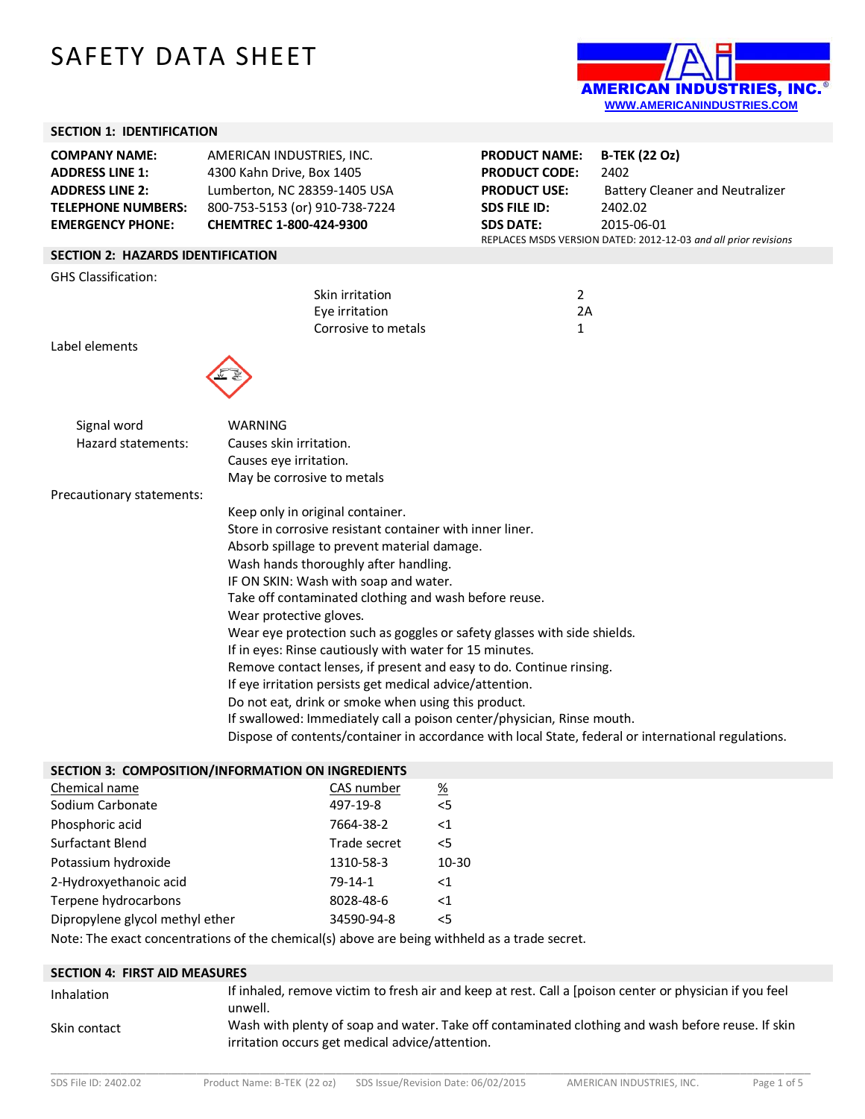# SAFETY DATA SHEET



## **SECTION 1: IDENTIFICATION**

| SECTION 1: IDENTIFICATION                                                                                                        |                                                                                                                                                     |                                                                                                                |                                                                                                                                                                    |
|----------------------------------------------------------------------------------------------------------------------------------|-----------------------------------------------------------------------------------------------------------------------------------------------------|----------------------------------------------------------------------------------------------------------------|--------------------------------------------------------------------------------------------------------------------------------------------------------------------|
| <b>COMPANY NAME:</b><br><b>ADDRESS LINE 1:</b><br><b>ADDRESS LINE 2:</b><br><b>TELEPHONE NUMBERS:</b><br><b>EMERGENCY PHONE:</b> | AMERICAN INDUSTRIES, INC.<br>4300 Kahn Drive, Box 1405<br>Lumberton, NC 28359-1405 USA<br>800-753-5153 (or) 910-738-7224<br>CHEMTREC 1-800-424-9300 | <b>PRODUCT NAME:</b><br><b>PRODUCT CODE:</b><br><b>PRODUCT USE:</b><br><b>SDS FILE ID:</b><br><b>SDS DATE:</b> | <b>B-TEK (22 Oz)</b><br>2402<br><b>Battery Cleaner and Neutralizer</b><br>2402.02<br>2015-06-01<br>REPLACES MSDS VERSION DATED: 2012-12-03 and all prior revisions |
| <b>SECTION 2: HAZARDS IDENTIFICATION</b>                                                                                         |                                                                                                                                                     |                                                                                                                |                                                                                                                                                                    |
| <b>GHS Classification:</b>                                                                                                       |                                                                                                                                                     |                                                                                                                |                                                                                                                                                                    |
|                                                                                                                                  | Skin irritation<br>Eye irritation<br>Corrosive to metals                                                                                            | $\overline{2}$<br>2A<br>1                                                                                      |                                                                                                                                                                    |
| Label elements                                                                                                                   |                                                                                                                                                     |                                                                                                                |                                                                                                                                                                    |
|                                                                                                                                  |                                                                                                                                                     |                                                                                                                |                                                                                                                                                                    |
| Signal word                                                                                                                      | <b>WARNING</b>                                                                                                                                      |                                                                                                                |                                                                                                                                                                    |
| Hazard statements:                                                                                                               | Causes skin irritation.                                                                                                                             |                                                                                                                |                                                                                                                                                                    |
|                                                                                                                                  | Causes eye irritation.                                                                                                                              |                                                                                                                |                                                                                                                                                                    |
|                                                                                                                                  | May be corrosive to metals                                                                                                                          |                                                                                                                |                                                                                                                                                                    |
| Precautionary statements:                                                                                                        |                                                                                                                                                     |                                                                                                                |                                                                                                                                                                    |
|                                                                                                                                  | Keep only in original container.                                                                                                                    |                                                                                                                |                                                                                                                                                                    |
|                                                                                                                                  | Store in corrosive resistant container with inner liner.                                                                                            |                                                                                                                |                                                                                                                                                                    |
|                                                                                                                                  | Absorb spillage to prevent material damage.                                                                                                         |                                                                                                                |                                                                                                                                                                    |
|                                                                                                                                  | Wash hands thoroughly after handling.                                                                                                               |                                                                                                                |                                                                                                                                                                    |
|                                                                                                                                  | IF ON SKIN: Wash with soap and water.                                                                                                               |                                                                                                                |                                                                                                                                                                    |
|                                                                                                                                  | Take off contaminated clothing and wash before reuse.                                                                                               |                                                                                                                |                                                                                                                                                                    |
|                                                                                                                                  | Wear protective gloves.                                                                                                                             |                                                                                                                |                                                                                                                                                                    |
|                                                                                                                                  | Wear eye protection such as goggles or safety glasses with side shields.                                                                            |                                                                                                                |                                                                                                                                                                    |
|                                                                                                                                  | If in eyes: Rinse cautiously with water for 15 minutes.                                                                                             |                                                                                                                |                                                                                                                                                                    |
|                                                                                                                                  | Remove contact lenses, if present and easy to do. Continue rinsing.<br>If eye irritation persists get medical advice/attention.                     |                                                                                                                |                                                                                                                                                                    |
|                                                                                                                                  | Do not eat, drink or smoke when using this product.                                                                                                 |                                                                                                                |                                                                                                                                                                    |
|                                                                                                                                  | If swallowed: Immediately call a poison center/physician, Rinse mouth.                                                                              |                                                                                                                |                                                                                                                                                                    |
|                                                                                                                                  | Dispose of contents/container in accordance with local State, federal or international regulations.                                                 |                                                                                                                |                                                                                                                                                                    |
| SECTION 3: COMPOSITION/INFORMATION ON INGREDIENTS                                                                                |                                                                                                                                                     |                                                                                                                |                                                                                                                                                                    |
| Chemical name                                                                                                                    | CAS number<br>$\frac{\%}{\%}$                                                                                                                       |                                                                                                                |                                                                                                                                                                    |

| Chemical name                   | CAS TIUITIDEI | <u>Zo</u> |
|---------------------------------|---------------|-----------|
| Sodium Carbonate                | 497-19-8      | 5         |
| Phosphoric acid                 | 7664-38-2     | <1        |
| Surfactant Blend                | Trade secret  | $\leq$    |
| Potassium hydroxide             | 1310-58-3     | 10-30     |
| 2-Hydroxyethanoic acid          | $79 - 14 - 1$ | $<$ 1     |
| Terpene hydrocarbons            | 8028-48-6     | $<$ 1     |
| Dipropylene glycol methyl ether | 34590-94-8    | $<$ 5     |

Note: The exact concentrations of the chemical(s) above are being withheld as a trade secret.

| <b>SECTION 4: FIRST AID MEASURES</b> |                                                                                                                                                      |
|--------------------------------------|------------------------------------------------------------------------------------------------------------------------------------------------------|
| Inhalation                           | If inhaled, remove victim to fresh air and keep at rest. Call a [poison center or physician if you feel<br>unwell.                                   |
| Skin contact                         | Wash with plenty of soap and water. Take off contaminated clothing and wash before reuse. If skin<br>irritation occurs get medical advice/attention. |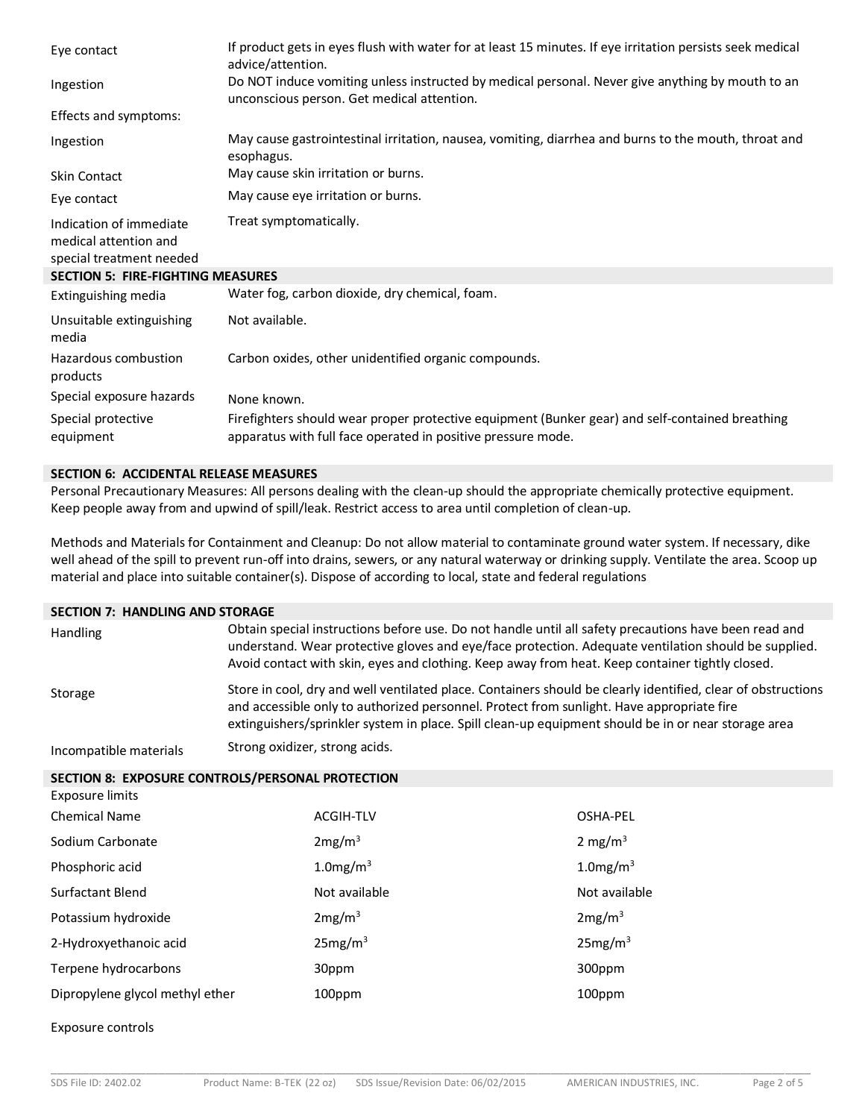| Eye contact                                                                  | If product gets in eyes flush with water for at least 15 minutes. If eye irritation persists seek medical<br>advice/attention.                                  |
|------------------------------------------------------------------------------|-----------------------------------------------------------------------------------------------------------------------------------------------------------------|
| Ingestion                                                                    | Do NOT induce vomiting unless instructed by medical personal. Never give anything by mouth to an<br>unconscious person. Get medical attention.                  |
| Effects and symptoms:                                                        |                                                                                                                                                                 |
| Ingestion                                                                    | May cause gastrointestinal irritation, nausea, vomiting, diarrhea and burns to the mouth, throat and<br>esophagus.                                              |
| <b>Skin Contact</b>                                                          | May cause skin irritation or burns.                                                                                                                             |
| Eye contact                                                                  | May cause eye irritation or burns.                                                                                                                              |
| Indication of immediate<br>medical attention and<br>special treatment needed | Treat symptomatically.                                                                                                                                          |
| <b>SECTION 5: FIRE-FIGHTING MEASURES</b>                                     |                                                                                                                                                                 |
| Extinguishing media                                                          | Water fog, carbon dioxide, dry chemical, foam.                                                                                                                  |
| Unsuitable extinguishing<br>media                                            | Not available.                                                                                                                                                  |
| Hazardous combustion<br>products                                             | Carbon oxides, other unidentified organic compounds.                                                                                                            |
| Special exposure hazards                                                     | None known.                                                                                                                                                     |
| Special protective<br>equipment                                              | Firefighters should wear proper protective equipment (Bunker gear) and self-contained breathing<br>apparatus with full face operated in positive pressure mode. |

#### **SECTION 6: ACCIDENTAL RELEASE MEASURES**

Personal Precautionary Measures: All persons dealing with the clean-up should the appropriate chemically protective equipment. Keep people away from and upwind of spill/leak. Restrict access to area until completion of clean-up.

Methods and Materials for Containment and Cleanup: Do not allow material to contaminate ground water system. If necessary, dike well ahead of the spill to prevent run-off into drains, sewers, or any natural waterway or drinking supply. Ventilate the area. Scoop up material and place into suitable container(s). Dispose of according to local, state and federal regulations

#### **SECTION 7: HANDLING AND STORAGE**

| <b>Handling</b>        | Obtain special instructions before use. Do not handle until all safety precautions have been read and<br>understand. Wear protective gloves and eye/face protection. Adequate ventilation should be supplied.<br>Avoid contact with skin, eyes and clothing. Keep away from heat. Keep container tightly closed. |
|------------------------|------------------------------------------------------------------------------------------------------------------------------------------------------------------------------------------------------------------------------------------------------------------------------------------------------------------|
| Storage                | Store in cool, dry and well ventilated place. Containers should be clearly identified, clear of obstructions<br>and accessible only to authorized personnel. Protect from sunlight. Have appropriate fire<br>extinguishers/sprinkler system in place. Spill clean-up equipment should be in or near storage area |
| Incompatible materials | Strong oxidizer, strong acids.                                                                                                                                                                                                                                                                                   |

**SECTION 8: EXPOSURE CONTROLS/PERSONAL PROTECTION**

| Exposure limits                 |                     |                         |
|---------------------------------|---------------------|-------------------------|
| <b>Chemical Name</b>            | <b>ACGIH-TLV</b>    | OSHA-PEL                |
| Sodium Carbonate                | 2mg/m <sup>3</sup>  | 2 mg/m <sup>3</sup>     |
| Phosphoric acid                 | $1.0$ mg/m $3$      | $1.0$ mg/m <sup>3</sup> |
| Surfactant Blend                | Not available       | Not available           |
| Potassium hydroxide             | 2mg/m <sup>3</sup>  | 2mg/m <sup>3</sup>      |
| 2-Hydroxyethanoic acid          | 25mg/m <sup>3</sup> | 25mg/m <sup>3</sup>     |
| Terpene hydrocarbons            | 30ppm               | 300ppm                  |
| Dipropylene glycol methyl ether | 100ppm              | 100ppm                  |

Exposure controls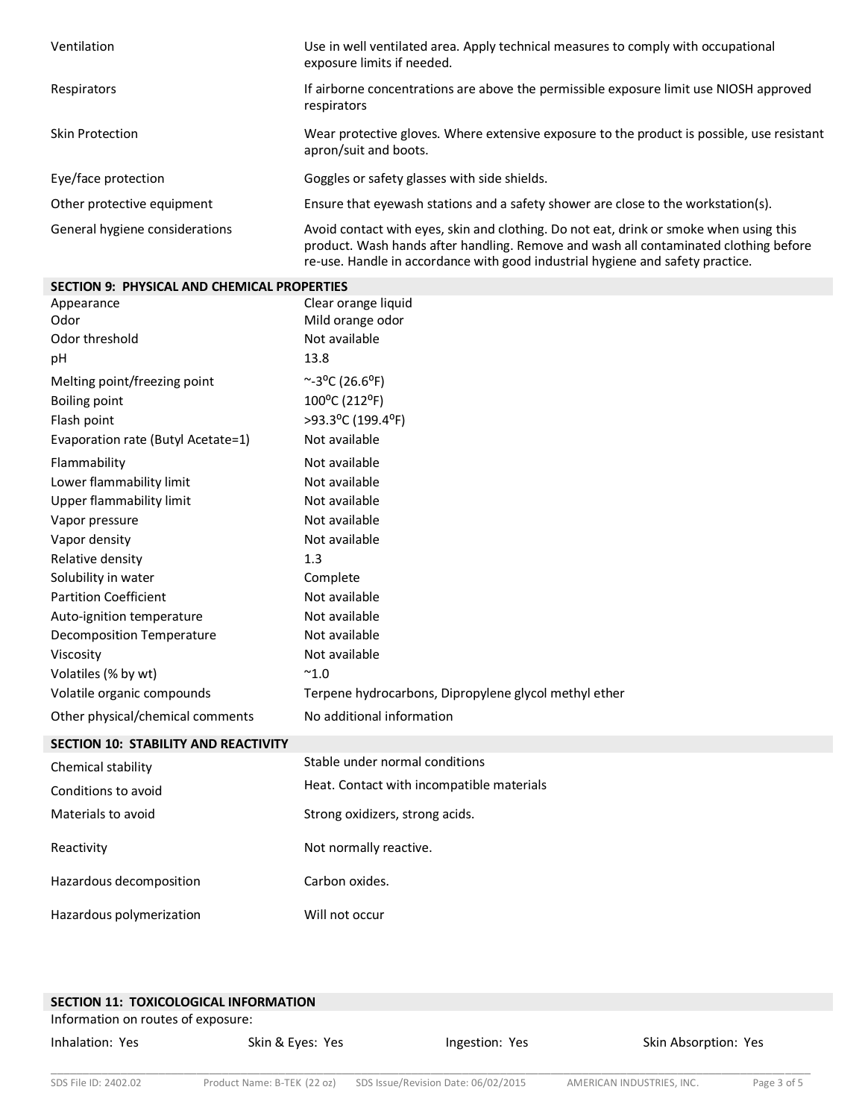| Ventilation                    | Use in well ventilated area. Apply technical measures to comply with occupational<br>exposure limits if needed.                                                                                                                                                  |
|--------------------------------|------------------------------------------------------------------------------------------------------------------------------------------------------------------------------------------------------------------------------------------------------------------|
| Respirators                    | If airborne concentrations are above the permissible exposure limit use NIOSH approved<br>respirators                                                                                                                                                            |
| Skin Protection                | Wear protective gloves. Where extensive exposure to the product is possible, use resistant<br>apron/suit and boots.                                                                                                                                              |
| Eye/face protection            | Goggles or safety glasses with side shields.                                                                                                                                                                                                                     |
| Other protective equipment     | Ensure that eyewash stations and a safety shower are close to the workstation(s).                                                                                                                                                                                |
| General hygiene considerations | Avoid contact with eyes, skin and clothing. Do not eat, drink or smoke when using this<br>product. Wash hands after handling. Remove and wash all contaminated clothing before<br>re-use. Handle in accordance with good industrial hygiene and safety practice. |

| <b>SECTION 9: PHYSICAL AND CHEMICAL PROPERTIES</b> |                                                       |
|----------------------------------------------------|-------------------------------------------------------|
| Appearance                                         | Clear orange liquid                                   |
| Odor                                               | Mild orange odor                                      |
| Odor threshold                                     | Not available                                         |
| pH                                                 | 13.8                                                  |
| Melting point/freezing point                       | $~^{\sim}$ -3 <sup>o</sup> C (26.6 <sup>o</sup> F)    |
| <b>Boiling point</b>                               | 100°C (212°F)                                         |
| Flash point                                        | >93.3°C (199.4°F)                                     |
| Evaporation rate (Butyl Acetate=1)                 | Not available                                         |
| Flammability                                       | Not available                                         |
| Lower flammability limit                           | Not available                                         |
| Upper flammability limit                           | Not available                                         |
| Vapor pressure                                     | Not available                                         |
| Vapor density                                      | Not available                                         |
| Relative density                                   | 1.3                                                   |
| Solubility in water                                | Complete                                              |
| <b>Partition Coefficient</b>                       | Not available                                         |
| Auto-ignition temperature                          | Not available                                         |
| <b>Decomposition Temperature</b>                   | Not available                                         |
| Viscosity                                          | Not available                                         |
| Volatiles (% by wt)                                | $^{\sim}$ 1.0                                         |
| Volatile organic compounds                         | Terpene hydrocarbons, Dipropylene glycol methyl ether |
| Other physical/chemical comments                   | No additional information                             |
| SECTION 10: STABILITY AND REACTIVITY               |                                                       |
| Chemical stability                                 | Stable under normal conditions                        |
| Conditions to avoid                                | Heat. Contact with incompatible materials             |
| Materials to avoid                                 | Strong oxidizers, strong acids.                       |
| Reactivity                                         | Not normally reactive.                                |
| Hazardous decomposition                            | Carbon oxides.                                        |
| Hazardous polymerization                           | Will not occur                                        |

| SECTION 11: TOXICOLOGICAL INFORMATION |                  |                |                      |
|---------------------------------------|------------------|----------------|----------------------|
| Information on routes of exposure:    |                  |                |                      |
| Inhalation: Yes                       | Skin & Eyes: Yes | Ingestion: Yes | Skin Absorption: Yes |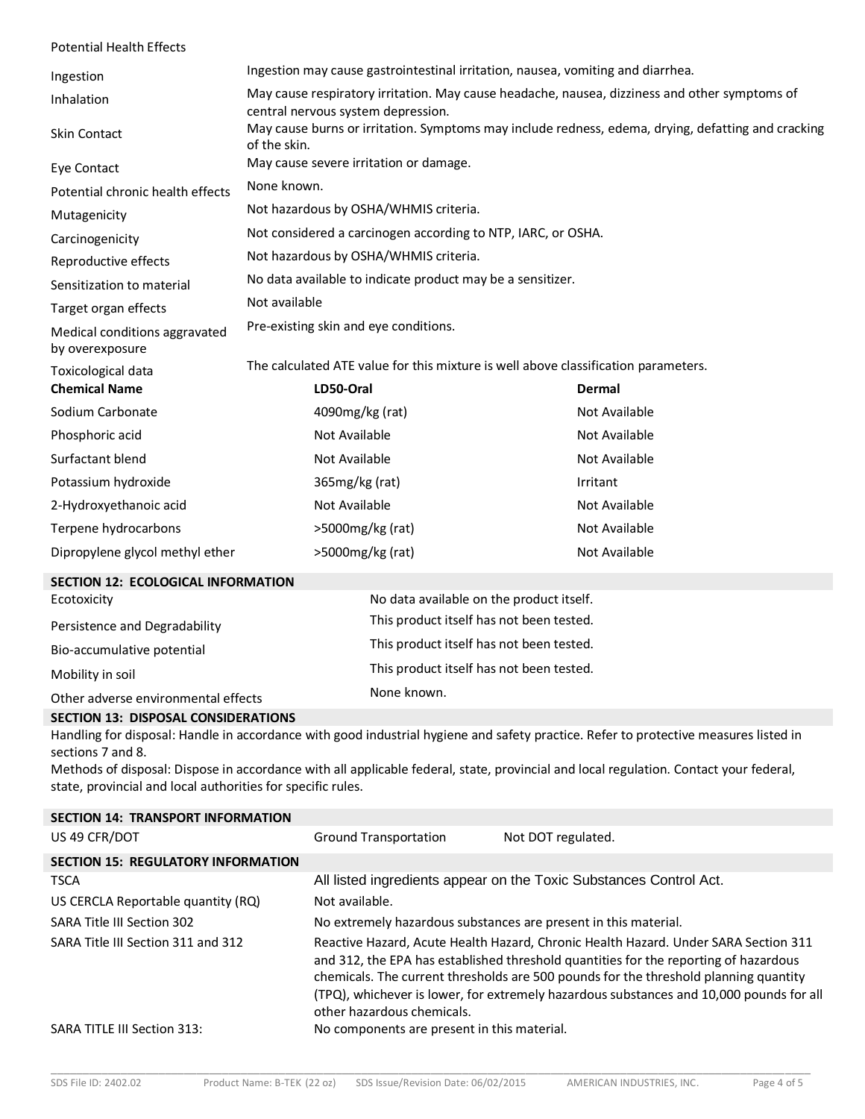| <b>Potential Health Effects</b>                              |                                                                                                                                     |                                                              |                                          |  |
|--------------------------------------------------------------|-------------------------------------------------------------------------------------------------------------------------------------|--------------------------------------------------------------|------------------------------------------|--|
| Ingestion                                                    | Ingestion may cause gastrointestinal irritation, nausea, vomiting and diarrhea.                                                     |                                                              |                                          |  |
| Inhalation                                                   | May cause respiratory irritation. May cause headache, nausea, dizziness and other symptoms of<br>central nervous system depression. |                                                              |                                          |  |
| <b>Skin Contact</b>                                          | May cause burns or irritation. Symptoms may include redness, edema, drying, defatting and cracking<br>of the skin.                  |                                                              |                                          |  |
| Eye Contact                                                  | May cause severe irritation or damage.                                                                                              |                                                              |                                          |  |
| Potential chronic health effects                             | None known.                                                                                                                         |                                                              |                                          |  |
| Mutagenicity                                                 | Not hazardous by OSHA/WHMIS criteria.                                                                                               |                                                              |                                          |  |
| Carcinogenicity                                              |                                                                                                                                     | Not considered a carcinogen according to NTP, IARC, or OSHA. |                                          |  |
| Reproductive effects                                         | Not hazardous by OSHA/WHMIS criteria.                                                                                               |                                                              |                                          |  |
| Sensitization to material                                    |                                                                                                                                     | No data available to indicate product may be a sensitizer.   |                                          |  |
| Target organ effects                                         | Not available                                                                                                                       |                                                              |                                          |  |
| Medical conditions aggravated<br>by overexposure             | Pre-existing skin and eye conditions.                                                                                               |                                                              |                                          |  |
| Toxicological data                                           | The calculated ATE value for this mixture is well above classification parameters.                                                  |                                                              |                                          |  |
| <b>Chemical Name</b>                                         | LD50-Oral                                                                                                                           |                                                              | Dermal                                   |  |
| Sodium Carbonate                                             | 4090mg/kg (rat)                                                                                                                     |                                                              | Not Available                            |  |
| Phosphoric acid                                              | Not Available                                                                                                                       |                                                              | Not Available                            |  |
| Surfactant blend                                             | Not Available                                                                                                                       |                                                              | Not Available                            |  |
| Potassium hydroxide                                          | 365mg/kg (rat)                                                                                                                      |                                                              | Irritant                                 |  |
| 2-Hydroxyethanoic acid                                       | Not Available                                                                                                                       |                                                              | Not Available                            |  |
| Terpene hydrocarbons                                         |                                                                                                                                     | >5000mg/kg (rat)                                             | Not Available                            |  |
| Dipropylene glycol methyl ether                              | >5000mg/kg (rat)                                                                                                                    |                                                              | Not Available                            |  |
| <b>SECTION 12: ECOLOGICAL INFORMATION</b>                    |                                                                                                                                     |                                                              |                                          |  |
| Ecotoxicity                                                  |                                                                                                                                     | No data available on the product itself.                     |                                          |  |
| Persistence and Degradability                                |                                                                                                                                     |                                                              | This product itself has not been tested. |  |
| Bio-accumulative potential                                   | This product itself has not been tested.                                                                                            |                                                              |                                          |  |
| This product itself has not been tested.<br>Mobility in soil |                                                                                                                                     |                                                              |                                          |  |
| Other adverse environmental effects                          |                                                                                                                                     | None known.                                                  |                                          |  |
| SECTION 13: DISPOSAL CONSIDERATIONS                          |                                                                                                                                     |                                                              |                                          |  |

## Handling for disposal: Handle in accordance with good industrial hygiene and safety practice. Refer to protective measures listed in sections 7 and 8.

Methods of disposal: Dispose in accordance with all applicable federal, state, provincial and local regulation. Contact your federal, state, provincial and local authorities for specific rules.

| <b>SECTION 14: TRANSPORT INFORMATION</b>  |                                                                                                                                                                                                                                                                                                                                                                                              |                                                                    |
|-------------------------------------------|----------------------------------------------------------------------------------------------------------------------------------------------------------------------------------------------------------------------------------------------------------------------------------------------------------------------------------------------------------------------------------------------|--------------------------------------------------------------------|
| US 49 CFR/DOT                             | <b>Ground Transportation</b>                                                                                                                                                                                                                                                                                                                                                                 | Not DOT regulated.                                                 |
| <b>SECTION 15: REGULATORY INFORMATION</b> |                                                                                                                                                                                                                                                                                                                                                                                              |                                                                    |
| <b>TSCA</b>                               |                                                                                                                                                                                                                                                                                                                                                                                              | All listed ingredients appear on the Toxic Substances Control Act. |
| US CERCLA Reportable quantity (RQ)        | Not available.                                                                                                                                                                                                                                                                                                                                                                               |                                                                    |
| SARA Title III Section 302                |                                                                                                                                                                                                                                                                                                                                                                                              | No extremely hazardous substances are present in this material.    |
| SARA Title III Section 311 and 312        | Reactive Hazard, Acute Health Hazard, Chronic Health Hazard. Under SARA Section 311<br>and 312, the EPA has established threshold quantities for the reporting of hazardous<br>chemicals. The current thresholds are 500 pounds for the threshold planning quantity<br>(TPQ), whichever is lower, for extremely hazardous substances and 10,000 pounds for all<br>other hazardous chemicals. |                                                                    |
| SARA TITLE III Section 313:               | No components are present in this material.                                                                                                                                                                                                                                                                                                                                                  |                                                                    |